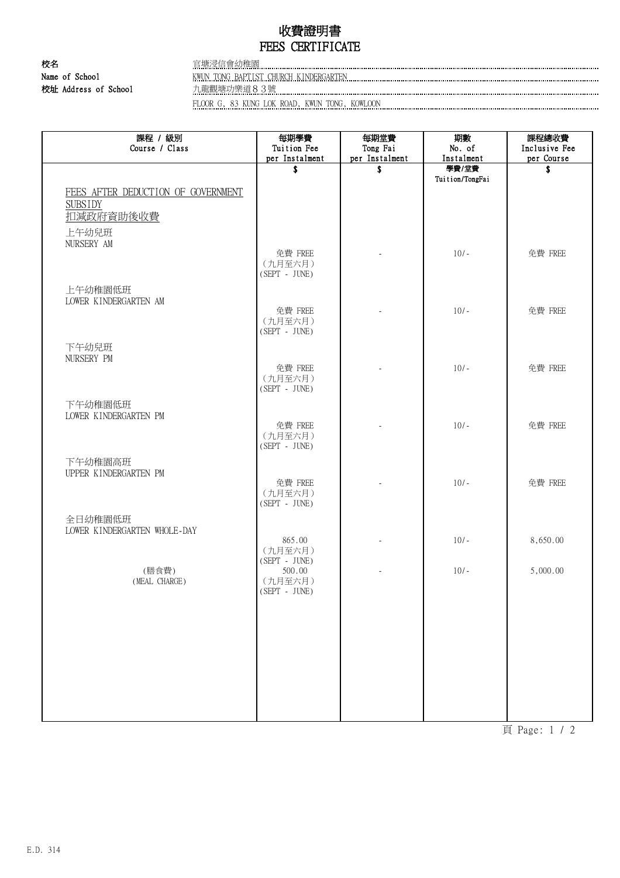## 收費證明書 FEES CERTIFICATE

校名 官塘浸信會幼稚園 Name of School KWUN TONG BAPTIST CHURCH KINDERGARTEN 校址 Address of School

FLOOR G, 83 KUNG LOK ROAD, KWUN TONG, KOWLOON

| 課程 / 級別<br>Course / Class                            | 每期學費<br>Tuition Fee                                     | 每期堂費<br>Tong Fai | 期數<br>No. of             | 課程總收費<br>Inclusive Fee |
|------------------------------------------------------|---------------------------------------------------------|------------------|--------------------------|------------------------|
|                                                      | per Instalment                                          | per Instalment   | Instalment               | per Course             |
|                                                      | \$                                                      | \$               | 學費/堂費<br>Tuition/TongFai | \$                     |
| FEES AFTER DEDUCTION OF GOVERNMENT<br><b>SUBSIDY</b> |                                                         |                  |                          |                        |
| 扣减政府資助後收費                                            |                                                         |                  |                          |                        |
| 上午幼兒班<br>NURSERY AM                                  |                                                         |                  |                          |                        |
|                                                      | 免費 FREE<br>(九月至六月)<br>$(SEPT - JUNE)$                   |                  | $10/-$                   | 免費 FREE                |
| 上午幼稚園低班<br>LOWER KINDERGARTEN AM                     |                                                         |                  |                          |                        |
|                                                      | 免費 FREE<br>(九月至六月)<br>(SEPT - JUNE)                     |                  | $10/-$                   | 免費 FREE                |
| 下午幼兒班<br>NURSERY PM                                  |                                                         |                  |                          |                        |
|                                                      | 免費 FREE<br>(九月至六月)<br>(SEPT - JUNE)                     | L.               | $10/-$                   | 免費 FREE                |
| 下午幼稚園低班<br>LOWER KINDERGARTEN PM                     | 免費 FREE                                                 |                  | $10/-$                   | 免費 FREE                |
|                                                      | (九月至六月)<br>(SEPT - JUNE)                                |                  |                          |                        |
| 下午幼稚園高班<br>UPPER KINDERGARTEN PM                     |                                                         |                  |                          |                        |
|                                                      | 免費 FREE<br>(九月至六月)<br>$(SEPT - JUNE)$                   |                  | $10/-$                   | 免費 FREE                |
| 全日幼稚園低班                                              |                                                         |                  |                          |                        |
| LOWER KINDERGARTEN WHOLE-DAY                         | 865.00<br>(九月至六月)                                       |                  | $10/-$                   | 8,650.00               |
| (膳食費)<br>(MEAL CHARGE)                               | $(SEPT - JUNE)$<br>500.00<br>(九月至六月)<br>$(SEPT - JUNE)$ |                  | $10/-$                   | 5,000.00               |
|                                                      |                                                         |                  |                          |                        |
|                                                      |                                                         |                  |                          |                        |
|                                                      |                                                         |                  |                          |                        |
|                                                      |                                                         |                  |                          |                        |
|                                                      |                                                         |                  |                          |                        |

頁 Page: 1 / 2